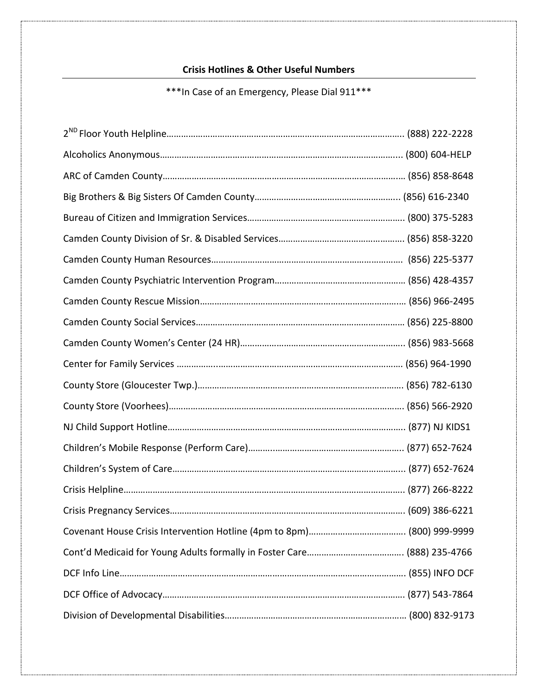## **Crisis Hotlines & Other Useful Numbers**

## \*\*\*In Case of an Emergency, Please Dial 911\*\*\*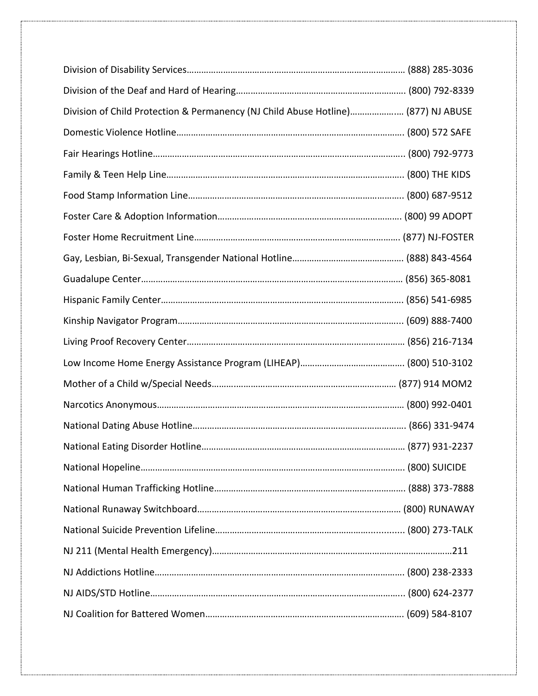| Division of Child Protection & Permanency (NJ Child Abuse Hotline) (877) NJ ABUSE |  |
|-----------------------------------------------------------------------------------|--|
|                                                                                   |  |
|                                                                                   |  |
|                                                                                   |  |
|                                                                                   |  |
|                                                                                   |  |
|                                                                                   |  |
|                                                                                   |  |
|                                                                                   |  |
|                                                                                   |  |
|                                                                                   |  |
|                                                                                   |  |
|                                                                                   |  |
|                                                                                   |  |
|                                                                                   |  |
|                                                                                   |  |
|                                                                                   |  |
|                                                                                   |  |
|                                                                                   |  |
|                                                                                   |  |
|                                                                                   |  |
|                                                                                   |  |
|                                                                                   |  |
|                                                                                   |  |
|                                                                                   |  |